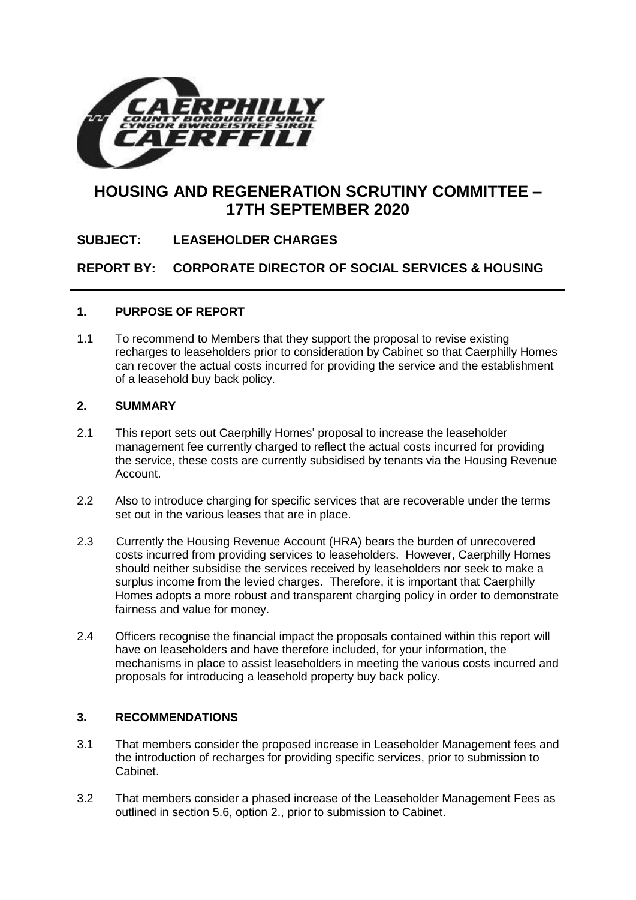

# **HOUSING AND REGENERATION SCRUTINY COMMITTEE – 17TH SEPTEMBER 2020**

**SUBJECT: LEASEHOLDER CHARGES**

**REPORT BY: CORPORATE DIRECTOR OF SOCIAL SERVICES & HOUSING**

### **1. PURPOSE OF REPORT**

1.1 To recommend to Members that they support the proposal to revise existing recharges to leaseholders prior to consideration by Cabinet so that Caerphilly Homes can recover the actual costs incurred for providing the service and the establishment of a leasehold buy back policy.

#### **2. SUMMARY**

- 2.1 This report sets out Caerphilly Homes' proposal to increase the leaseholder management fee currently charged to reflect the actual costs incurred for providing the service, these costs are currently subsidised by tenants via the Housing Revenue Account.
- 2.2 Also to introduce charging for specific services that are recoverable under the terms set out in the various leases that are in place.
- 2.3 Currently the Housing Revenue Account (HRA) bears the burden of unrecovered costs incurred from providing services to leaseholders. However, Caerphilly Homes should neither subsidise the services received by leaseholders nor seek to make a surplus income from the levied charges. Therefore, it is important that Caerphilly Homes adopts a more robust and transparent charging policy in order to demonstrate fairness and value for money.
- 2.4 Officers recognise the financial impact the proposals contained within this report will have on leaseholders and have therefore included, for your information, the mechanisms in place to assist leaseholders in meeting the various costs incurred and proposals for introducing a leasehold property buy back policy.

#### **3. RECOMMENDATIONS**

- 3.1 That members consider the proposed increase in Leaseholder Management fees and the introduction of recharges for providing specific services, prior to submission to Cabinet.
- 3.2 That members consider a phased increase of the Leaseholder Management Fees as outlined in section 5.6, option 2., prior to submission to Cabinet.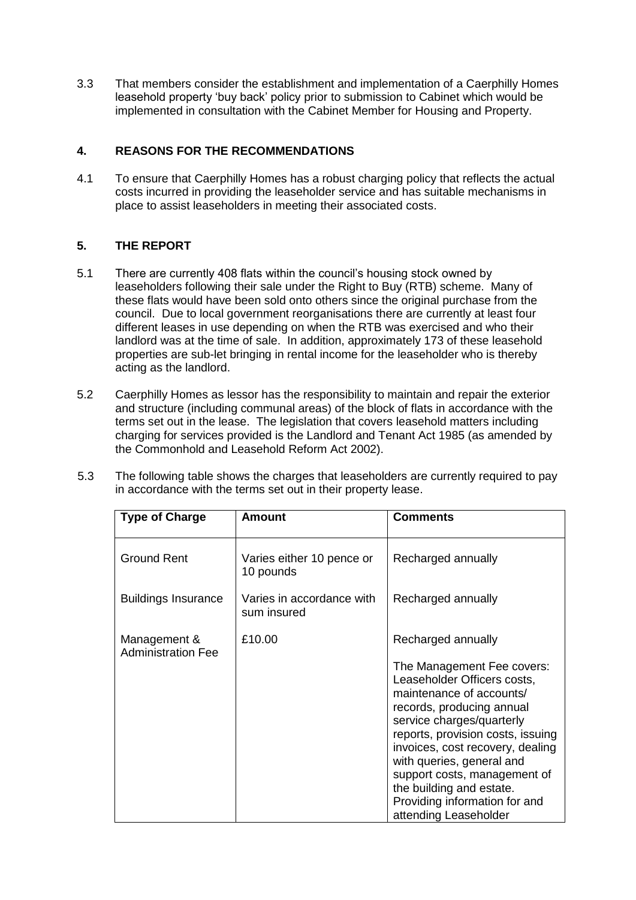3.3 That members consider the establishment and implementation of a Caerphilly Homes leasehold property 'buy back' policy prior to submission to Cabinet which would be implemented in consultation with the Cabinet Member for Housing and Property.

## **4. REASONS FOR THE RECOMMENDATIONS**

4.1 To ensure that Caerphilly Homes has a robust charging policy that reflects the actual costs incurred in providing the leaseholder service and has suitable mechanisms in place to assist leaseholders in meeting their associated costs.

## **5. THE REPORT**

- 5.1 There are currently 408 flats within the council's housing stock owned by leaseholders following their sale under the Right to Buy (RTB) scheme. Many of these flats would have been sold onto others since the original purchase from the council. Due to local government reorganisations there are currently at least four different leases in use depending on when the RTB was exercised and who their landlord was at the time of sale. In addition, approximately 173 of these leasehold properties are sub-let bringing in rental income for the leaseholder who is thereby acting as the landlord.
- 5.2 Caerphilly Homes as lessor has the responsibility to maintain and repair the exterior and structure (including communal areas) of the block of flats in accordance with the terms set out in the lease. The legislation that covers leasehold matters including charging for services provided is the Landlord and Tenant Act 1985 (as amended by the Commonhold and Leasehold Reform Act 2002).

| 5.3 | The following table shows the charges that leaseholders are currently required to pay |
|-----|---------------------------------------------------------------------------------------|
|     | in accordance with the terms set out in their property lease.                         |

| <b>Type of Charge</b>                     | <b>Amount</b>                            | <b>Comments</b>                                                                                                                                                                                                                                                                                                                                                                                   |  |
|-------------------------------------------|------------------------------------------|---------------------------------------------------------------------------------------------------------------------------------------------------------------------------------------------------------------------------------------------------------------------------------------------------------------------------------------------------------------------------------------------------|--|
| <b>Ground Rent</b>                        | Varies either 10 pence or<br>10 pounds   | Recharged annually                                                                                                                                                                                                                                                                                                                                                                                |  |
| <b>Buildings Insurance</b>                | Varies in accordance with<br>sum insured | Recharged annually                                                                                                                                                                                                                                                                                                                                                                                |  |
| Management &<br><b>Administration Fee</b> | £10.00                                   | Recharged annually<br>The Management Fee covers:<br>Leaseholder Officers costs,<br>maintenance of accounts/<br>records, producing annual<br>service charges/quarterly<br>reports, provision costs, issuing<br>invoices, cost recovery, dealing<br>with queries, general and<br>support costs, management of<br>the building and estate.<br>Providing information for and<br>attending Leaseholder |  |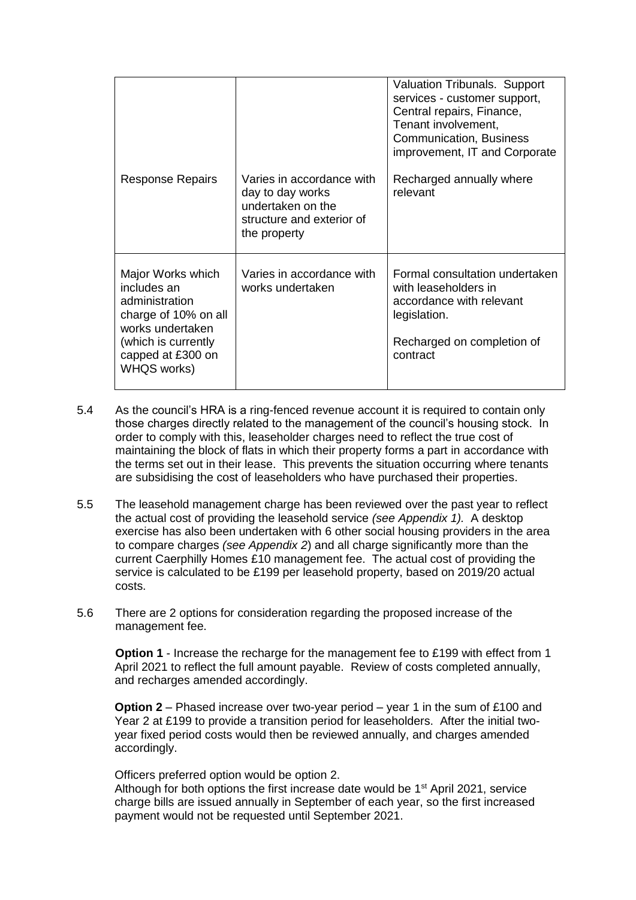|                                                                                                                                                            |                                                                                                                 | <b>Valuation Tribunals. Support</b><br>services - customer support,<br>Central repairs, Finance,<br>Tenant involvement,<br>Communication, Business<br>improvement, IT and Corporate |
|------------------------------------------------------------------------------------------------------------------------------------------------------------|-----------------------------------------------------------------------------------------------------------------|-------------------------------------------------------------------------------------------------------------------------------------------------------------------------------------|
| <b>Response Repairs</b>                                                                                                                                    | Varies in accordance with<br>day to day works<br>undertaken on the<br>structure and exterior of<br>the property | Recharged annually where<br>relevant                                                                                                                                                |
| Major Works which<br>includes an<br>administration<br>charge of 10% on all<br>works undertaken<br>(which is currently)<br>capped at £300 on<br>WHQS works) | Varies in accordance with<br>works undertaken                                                                   | Formal consultation undertaken<br>with leaseholders in<br>accordance with relevant<br>legislation.<br>Recharged on completion of<br>contract                                        |

- 5.4 As the council's HRA is a ring-fenced revenue account it is required to contain only those charges directly related to the management of the council's housing stock. In order to comply with this, leaseholder charges need to reflect the true cost of maintaining the block of flats in which their property forms a part in accordance with the terms set out in their lease. This prevents the situation occurring where tenants are subsidising the cost of leaseholders who have purchased their properties.
- 5.5 The leasehold management charge has been reviewed over the past year to reflect the actual cost of providing the leasehold service *(see Appendix 1).* A desktop exercise has also been undertaken with 6 other social housing providers in the area to compare charges *(see Appendix 2*) and all charge significantly more than the current Caerphilly Homes £10 management fee. The actual cost of providing the service is calculated to be £199 per leasehold property, based on 2019/20 actual costs.
- 5.6 There are 2 options for consideration regarding the proposed increase of the management fee.

**Option 1** - Increase the recharge for the management fee to £199 with effect from 1 April 2021 to reflect the full amount payable. Review of costs completed annually, and recharges amended accordingly.

**Option 2** – Phased increase over two-year period – year 1 in the sum of £100 and Year 2 at £199 to provide a transition period for leaseholders. After the initial twoyear fixed period costs would then be reviewed annually, and charges amended accordingly.

Officers preferred option would be option 2.

Although for both options the first increase date would be  $1<sup>st</sup>$  April 2021, service charge bills are issued annually in September of each year, so the first increased payment would not be requested until September 2021.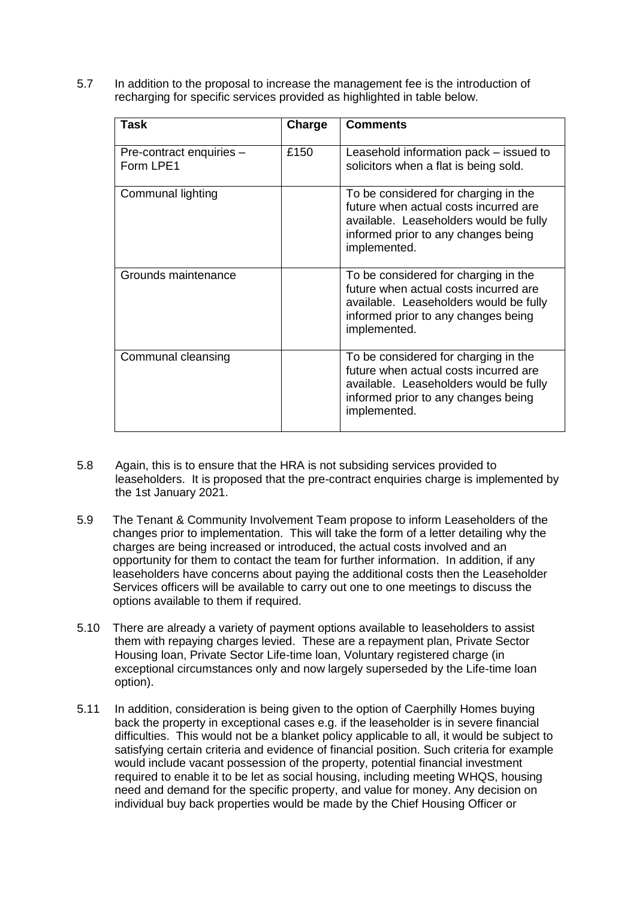5.7 In addition to the proposal to increase the management fee is the introduction of recharging for specific services provided as highlighted in table below.

| Task                                  | Charge | <b>Comments</b>                                                                                                                                                                |
|---------------------------------------|--------|--------------------------------------------------------------------------------------------------------------------------------------------------------------------------------|
| Pre-contract enquiries -<br>Form LPE1 | £150   | Leasehold information pack – issued to<br>solicitors when a flat is being sold.                                                                                                |
| Communal lighting                     |        | To be considered for charging in the<br>future when actual costs incurred are<br>available. Leaseholders would be fully<br>informed prior to any changes being<br>implemented. |
| Grounds maintenance                   |        | To be considered for charging in the<br>future when actual costs incurred are<br>available. Leaseholders would be fully<br>informed prior to any changes being<br>implemented. |
| Communal cleansing                    |        | To be considered for charging in the<br>future when actual costs incurred are<br>available. Leaseholders would be fully<br>informed prior to any changes being<br>implemented. |

- 5.8 Again, this is to ensure that the HRA is not subsiding services provided to leaseholders. It is proposed that the pre-contract enquiries charge is implemented by the 1st January 2021.
- 5.9 The Tenant & Community Involvement Team propose to inform Leaseholders of the changes prior to implementation. This will take the form of a letter detailing why the charges are being increased or introduced, the actual costs involved and an opportunity for them to contact the team for further information. In addition, if any leaseholders have concerns about paying the additional costs then the Leaseholder Services officers will be available to carry out one to one meetings to discuss the options available to them if required.
- 5.10 There are already a variety of payment options available to leaseholders to assist them with repaying charges levied. These are a repayment plan, Private Sector Housing loan, Private Sector Life-time loan, Voluntary registered charge (in exceptional circumstances only and now largely superseded by the Life-time loan option).
- 5.11 In addition, consideration is being given to the option of Caerphilly Homes buying back the property in exceptional cases e.g. if the leaseholder is in severe financial difficulties. This would not be a blanket policy applicable to all, it would be subject to satisfying certain criteria and evidence of financial position. Such criteria for example would include vacant possession of the property, potential financial investment required to enable it to be let as social housing, including meeting WHQS, housing need and demand for the specific property, and value for money. Any decision on individual buy back properties would be made by the Chief Housing Officer or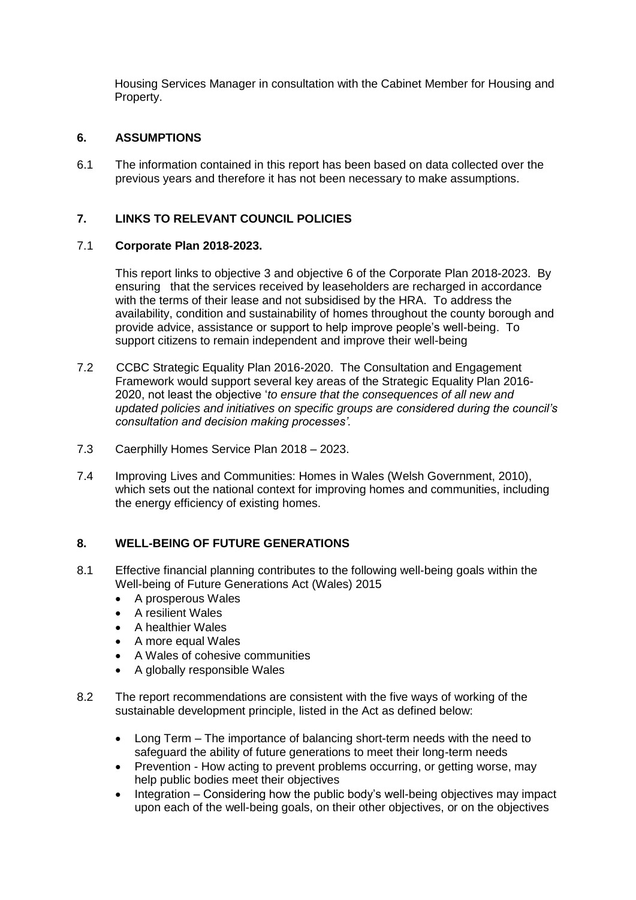Housing Services Manager in consultation with the Cabinet Member for Housing and Property.

#### **6. ASSUMPTIONS**

6.1 The information contained in this report has been based on data collected over the previous years and therefore it has not been necessary to make assumptions.

### **7. LINKS TO RELEVANT COUNCIL POLICIES**

#### 7.1 **Corporate Plan 2018-2023.**

This report links to objective 3 and objective 6 of the Corporate Plan 2018-2023. By ensuring that the services received by leaseholders are recharged in accordance with the terms of their lease and not subsidised by the HRA. To address the availability, condition and sustainability of homes throughout the county borough and provide advice, assistance or support to help improve people's well-being. To support citizens to remain independent and improve their well-being

- 7.2 CCBC Strategic Equality Plan 2016-2020. The Consultation and Engagement Framework would support several key areas of the Strategic Equality Plan 2016- 2020, not least the objective '*to ensure that the consequences of all new and updated policies and initiatives on specific groups are considered during the council's consultation and decision making processes'.*
- 7.3 Caerphilly Homes Service Plan 2018 2023.
- 7.4 Improving Lives and Communities: Homes in Wales (Welsh Government, 2010), which sets out the national context for improving homes and communities, including the energy efficiency of existing homes.

#### **8. WELL-BEING OF FUTURE GENERATIONS**

- 8.1 Effective financial planning contributes to the following well-being goals within the Well-being of Future Generations Act (Wales) 2015
	- A prosperous Wales
	- A resilient Wales
	- A healthier Wales
	- A more equal Wales
	- A Wales of cohesive communities
	- A globally responsible Wales
- 8.2 The report recommendations are consistent with the five ways of working of the sustainable development principle, listed in the Act as defined below:
	- Long Term The importance of balancing short-term needs with the need to safeguard the ability of future generations to meet their long-term needs
	- Prevention How acting to prevent problems occurring, or getting worse, may help public bodies meet their objectives
	- $\bullet$  Integration Considering how the public body's well-being objectives may impact upon each of the well-being goals, on their other objectives, or on the objectives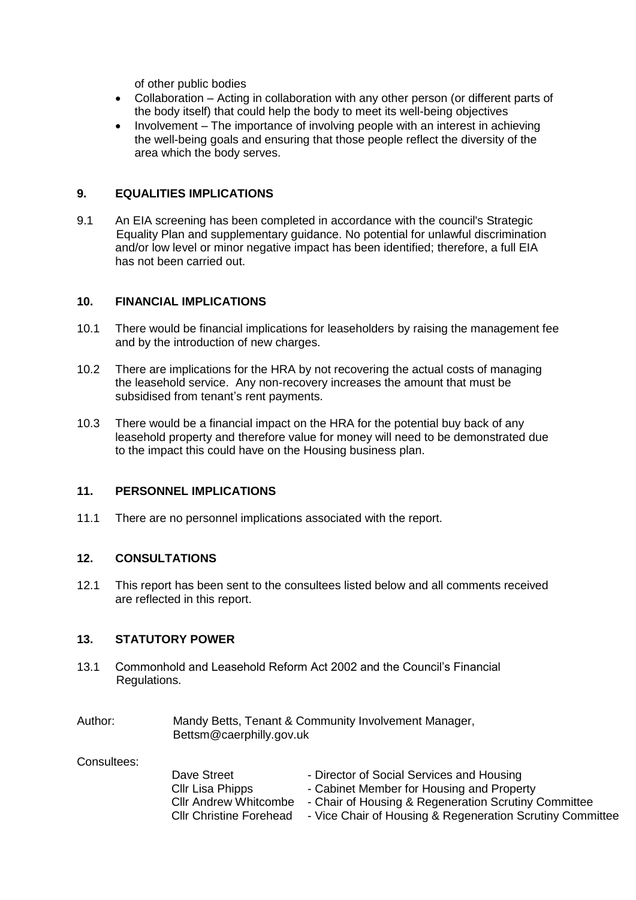of other public bodies

- Collaboration Acting in collaboration with any other person (or different parts of the body itself) that could help the body to meet its well-being objectives
- $\bullet$  Involvement The importance of involving people with an interest in achieving the well-being goals and ensuring that those people reflect the diversity of the area which the body serves.

#### **9. EQUALITIES IMPLICATIONS**

9.1 An EIA screening has been completed in accordance with the council's Strategic Equality Plan and supplementary guidance. No potential for unlawful discrimination and/or low level or minor negative impact has been identified; therefore, a full EIA has not been carried out.

### **10. FINANCIAL IMPLICATIONS**

- 10.1 There would be financial implications for leaseholders by raising the management fee and by the introduction of new charges.
- 10.2 There are implications for the HRA by not recovering the actual costs of managing the leasehold service. Any non-recovery increases the amount that must be subsidised from tenant's rent payments.
- 10.3 There would be a financial impact on the HRA for the potential buy back of any leasehold property and therefore value for money will need to be demonstrated due to the impact this could have on the Housing business plan.

#### **11. PERSONNEL IMPLICATIONS**

11.1 There are no personnel implications associated with the report.

#### **12. CONSULTATIONS**

12.1 This report has been sent to the consultees listed below and all comments received are reflected in this report.

#### **13. STATUTORY POWER**

13.1 Commonhold and Leasehold Reform Act 2002 and the Council's Financial Regulations.

| Author: | Mandy Betts, Tenant & Community Involvement Manager, |
|---------|------------------------------------------------------|
|         | Bettsm@caerphilly.gov.uk                             |

Consultees:

| Dave Street                    | - Director of Social Services and Housing                 |
|--------------------------------|-----------------------------------------------------------|
| Cllr Lisa Phipps               | - Cabinet Member for Housing and Property                 |
| <b>CIIr Andrew Whitcombe</b>   | - Chair of Housing & Regeneration Scrutiny Committee      |
| <b>CIIr Christine Forehead</b> | - Vice Chair of Housing & Regeneration Scrutiny Committee |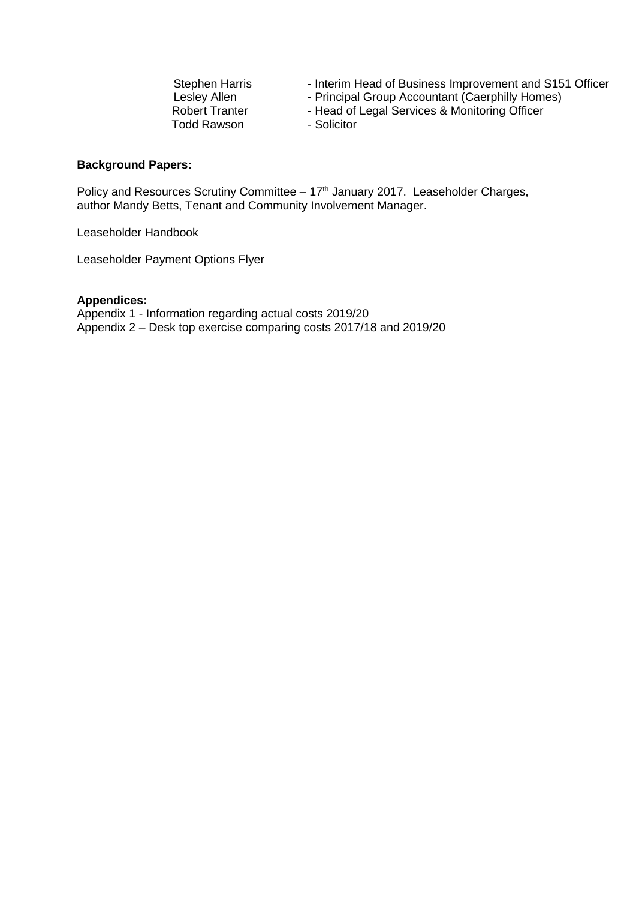- Interim Head of Business Improvement and S151 Officer
- Principal Group Accountant (Caerphilly Homes)
- Head of Legal Services & Monitoring Officer
- Solicitor

#### **Background Papers:**

Policy and Resources Scrutiny Committee  $-17<sup>th</sup>$  January 2017. Leaseholder Charges, author Mandy Betts, Tenant and Community Involvement Manager.

Leaseholder Handbook

Leaseholder Payment Options Flyer

#### **Appendices:**

Appendix 1 - Information regarding actual costs 2019/20 Appendix 2 – Desk top exercise comparing costs 2017/18 and 2019/20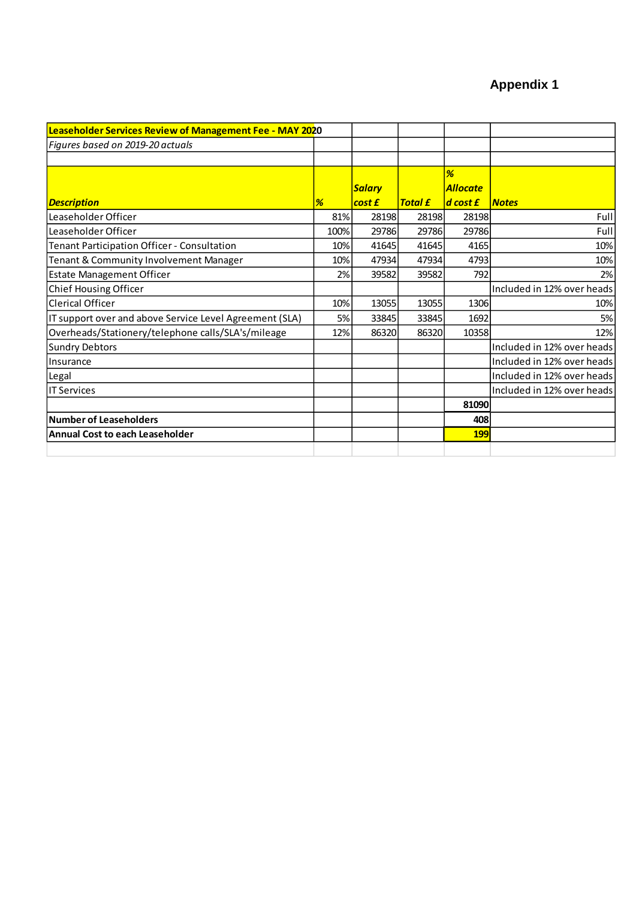# **Appendix 1**

| Leaseholder Services Review of Management Fee - MAY 2020 |      |               |                |                 |                            |
|----------------------------------------------------------|------|---------------|----------------|-----------------|----------------------------|
| Figures based on 2019-20 actuals                         |      |               |                |                 |                            |
|                                                          |      |               |                |                 |                            |
|                                                          |      |               |                | %               |                            |
|                                                          |      | <b>Salary</b> |                | <b>Allocate</b> |                            |
| <b>Description</b>                                       | %    | cost £        | <b>Total £</b> | $d$ cost $f$    | <b>Notes</b>               |
| Leaseholder Officer                                      | 81%  | 28198         | 28198          | 28198           | Full                       |
| Leaseholder Officer                                      | 100% | 29786         | 29786          | 29786           | Full                       |
| Tenant Participation Officer - Consultation              | 10%  | 41645         | 41645          | 4165            | 10%                        |
| Tenant & Community Involvement Manager                   | 10%  | 47934         | 47934          | 4793            | 10%                        |
| <b>Estate Management Officer</b>                         | 2%   | 39582         | 39582          | 792             | 2%                         |
| Chief Housing Officer                                    |      |               |                |                 | Included in 12% over heads |
| <b>Clerical Officer</b>                                  | 10%  | 13055         | 13055          | 1306            | 10%                        |
| IT support over and above Service Level Agreement (SLA)  | 5%   | 33845         | 33845          | 1692            | 5%                         |
| Overheads/Stationery/telephone calls/SLA's/mileage       | 12%  | 86320         | 86320          | 10358           | 12%                        |
| <b>Sundry Debtors</b>                                    |      |               |                |                 | Included in 12% over heads |
| Insurance                                                |      |               |                |                 | Included in 12% over heads |
| Legal                                                    |      |               |                |                 | Included in 12% over heads |
| <b>IT Services</b>                                       |      |               |                |                 | Included in 12% over heads |
|                                                          |      |               |                | 81090           |                            |
| <b>Number of Leaseholders</b>                            |      |               |                | 408             |                            |
| <b>Annual Cost to each Leaseholder</b>                   |      |               |                | <b>199</b>      |                            |
|                                                          |      |               |                |                 |                            |